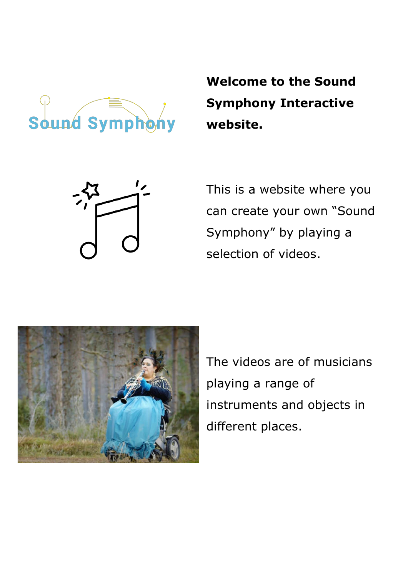

**Welcome to the Sound Symphony Interactive website.**



This is a website where you can create your own "Sound Symphony" by playing a selection of videos.



The videos are of musicians playing a range of instruments and objects in different places.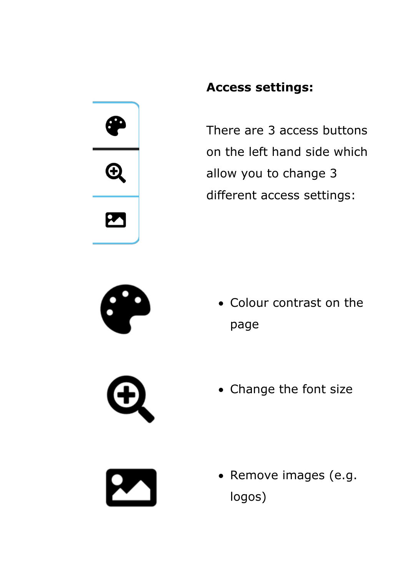

## **Access settings:**

There are 3 access buttons on the left hand side which allow you to change 3 different access settings:



• Change the font size

• Remove images (e.g. logos)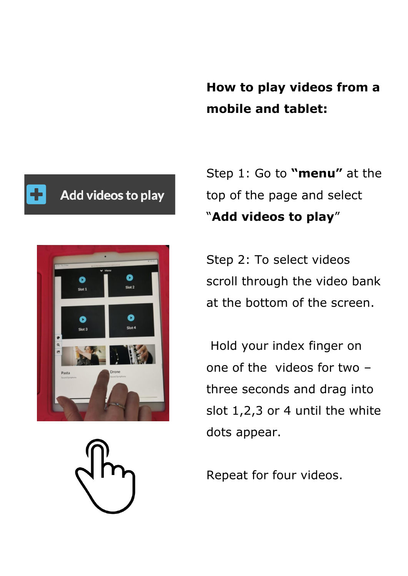**How to play videos from a mobile and tablet:**

## Add videos to play



Step 1: Go to **"menu"** at the top of the page and select "**Add videos to play**"

Step 2: To select videos scroll through the video bank at the bottom of the screen.

Hold your index finger on one of the videos for two – three seconds and drag into slot 1,2,3 or 4 until the white dots appear.

Repeat for four videos.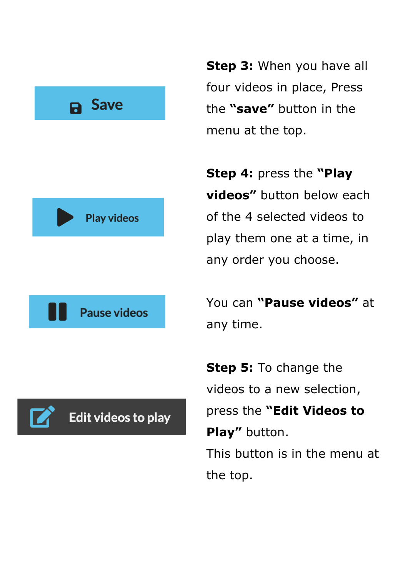





**Step 3:** When you have all four videos in place, Press the **"save"** button in the menu at the top.

**Step 4:** press the **"Play videos"** button below each of the 4 selected videos to play them one at a time, in any order you choose.

You can **"Pause videos"** at any time.

**Step 5:** To change the videos to a new selection, press the **"Edit Videos to**  Play" button. This button is in the menu at the top.